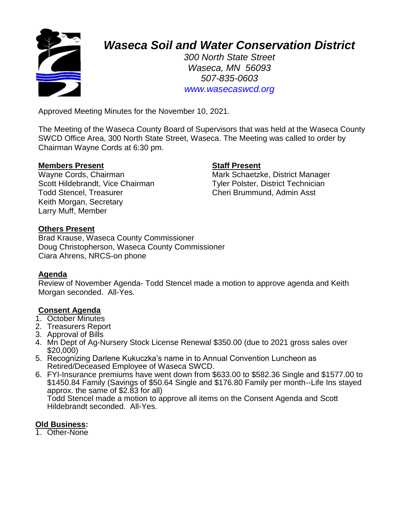

# *Waseca Soil and Water Conservation District*

*300 North State Street Waseca, MN 56093 507-835-0603 www.wasecaswcd.org*

Approved Meeting Minutes for the November 10, 2021.

The Meeting of the Waseca County Board of Supervisors that was held at the Waseca County SWCD Office Area, 300 North State Street, Waseca. The Meeting was called to order by Chairman Wayne Cords at 6:30 pm.

#### **Members Present Staff Present**

Scott Hildebrandt, Vice Chairman Tyler Polster, District Technician Todd Stencel, Treasurer Cheri Brummund, Admin Asst Keith Morgan, Secretary Larry Muff, Member

Wayne Cords, Chairman Mark Schaetzke, District Manager

## **Others Present**

Brad Krause, Waseca County Commissioner Doug Christopherson, Waseca County Commissioner Ciara Ahrens, NRCS-on phone

#### **Agenda**

Review of November Agenda- Todd Stencel made a motion to approve agenda and Keith Morgan seconded. All-Yes.

# **Consent Agenda**

- 1. October Minutes
- 2. Treasurers Report
- 3. Approval of Bills
- 4. Mn Dept of Ag-Nursery Stock License Renewal \$350.00 (due to 2021 gross sales over \$20,000)
- 5. Recognizing Darlene Kukuczka's name in to Annual Convention Luncheon as Retired/Deceased Employee of Waseca SWCD.
- 6. FYI-Insurance premiums have went down from \$633.00 to \$582.36 Single and \$1577.00 to \$1450.84 Family (Savings of \$50.64 Single and \$176.80 Family per month--Life Ins stayed approx. the same of \$2.83 for all) Todd Stencel made a motion to approve all items on the Consent Agenda and Scott Hildebrandt seconded. All-Yes.

# **Old Business:**

1. Other-None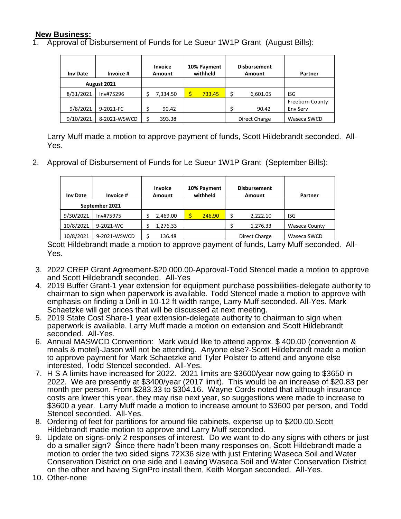# **New Business:**

1. Approval of Disbursement of Funds for Le Sueur 1W1P Grant (August Bills):

| <b>Inv Date</b> | Invoice #    | <b>Invoice</b><br>Amount | 10% Payment<br>withheld | <b>Disbursement</b><br>Amount | Partner         |
|-----------------|--------------|--------------------------|-------------------------|-------------------------------|-----------------|
| August 2021     |              |                          |                         |                               |                 |
| 8/31/2021       | Inv#75296    | 7,334.50                 | 733.45                  | \$<br>6,601.05                | ISG             |
|                 |              |                          |                         |                               | Freeborn County |
| 9/8/2021        | 9-2021-FC    | 90.42                    |                         | 90.42                         | Env Serv        |
| 9/10/2021       | 8-2021-WSWCD | 393.38                   |                         | Direct Charge                 | Waseca SWCD     |

Larry Muff made a motion to approve payment of funds, Scott Hildebrandt seconded. All-Yes.

2. Approval of Disbursement of Funds for Le Sueur 1W1P Grant (September Bills):

| <b>Inv Date</b> | Invoice #    | <b>Invoice</b><br>Amount | 10% Payment<br>withheld | <b>Disbursement</b><br>Amount | Partner              |
|-----------------|--------------|--------------------------|-------------------------|-------------------------------|----------------------|
| September 2021  |              |                          |                         |                               |                      |
| 9/30/2021       | Inv#75975    | 2,469.00                 | 246.90                  | 2.222.10<br>Ś                 | ISG                  |
| 10/8/2021       | 9-2021-WC    | 1,276.33                 |                         | 1,276.33                      | <b>Waseca County</b> |
| 10/8/2021       | 9-2021-WSWCD | 136.48                   |                         | Direct Charge                 | Waseca SWCD          |

Scott Hildebrandt made a motion to approve payment of funds, Larry Muff seconded. All-Yes.

- 3. 2022 CREP Grant Agreement-\$20,000.00-Approval-Todd Stencel made a motion to approve and Scott Hildebrandt seconded. All-Yes
- 4. 2019 Buffer Grant-1 year extension for equipment purchase possibilities-delegate authority to chairman to sign when paperwork is available. Todd Stencel made a motion to approve with emphasis on finding a Drill in 10-12 ft width range, Larry Muff seconded. All-Yes. Mark Schaetzke will get prices that will be discussed at next meeting.
- 5. 2019 State Cost Share-1 year extension-delegate authority to chairman to sign when paperwork is available. Larry Muff made a motion on extension and Scott Hildebrandt seconded. All-Yes.
- 6. Annual MASWCD Convention: Mark would like to attend approx. \$ 400.00 (convention & meals & motel)-Jason will not be attending. Anyone else?-Scott Hildebrandt made a motion to approve payment for Mark Schaetzke and Tyler Polster to attend and anyone else interested, Todd Stencel seconded. All-Yes.
- 7. H S A limits have increased for 2022. 2021 limits are \$3600/year now going to \$3650 in 2022. We are presently at \$3400/year (2017 limit). This would be an increase of \$20.83 per month per person. From \$283.33 to \$304.16. Wayne Cords noted that although insurance costs are lower this year, they may rise next year, so suggestions were made to increase to \$3600 a year. Larry Muff made a motion to increase amount to \$3600 per person, and Todd Stencel seconded. All-Yes.
- 8. Ordering of feet for partitions for around file cabinets, expense up to \$200.00.Scott Hildebrandt made motion to approve and Larry Muff seconded.
- 9. Update on signs-only 2 responses of interest. Do we want to do any signs with others or just do a smaller sign? Since there hadn't been many responses on, Scott Hildebrandt made a motion to order the two sided signs 72X36 size with just Entering Waseca Soil and Water Conservation District on one side and Leaving Waseca Soil and Water Conservation District on the other and having SignPro install them, Keith Morgan seconded. All-Yes.
- 10. Other-none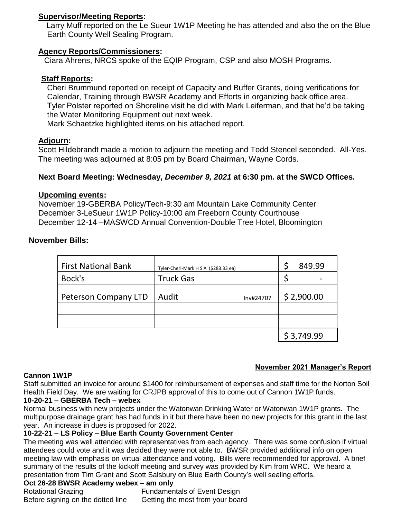#### **Supervisor/Meeting Reports:**

Larry Muff reported on the Le Sueur 1W1P Meeting he has attended and also the on the Blue Earth County Well Sealing Program.

#### **Agency Reports/Commissioners:**

Ciara Ahrens, NRCS spoke of the EQIP Program, CSP and also MOSH Programs.

#### **Staff Reports:**

Cheri Brummund reported on receipt of Capacity and Buffer Grants, doing verifications for Calendar, Training through BWSR Academy and Efforts in organizing back office area. Tyler Polster reported on Shoreline visit he did with Mark Leiferman, and that he'd be taking the Water Monitoring Equipment out next week.

Mark Schaetzke highlighted items on his attached report.

## **Adjourn:**

Scott Hildebrandt made a motion to adjourn the meeting and Todd Stencel seconded. All-Yes. The meeting was adjourned at 8:05 pm by Board Chairman, Wayne Cords.

## **Next Board Meeting: Wednesday,** *December 9, 2021* **at 6:30 pm. at the SWCD Offices.**

#### **Upcoming events:**

November 19-GBERBA Policy/Tech-9:30 am Mountain Lake Community Center December 3-LeSueur 1W1P Policy-10:00 am Freeborn County Courthouse December 12-14 –MASWCD Annual Convention-Double Tree Hotel, Bloomington

## **November Bills:**

| <b>First National Bank</b> | Tyler-Cheri-Mark H S A (\$283.33 ea) |           | 849.99     |
|----------------------------|--------------------------------------|-----------|------------|
| Bock's                     | <b>Truck Gas</b>                     |           |            |
| Peterson Company LTD       | Audit                                | Inv#24707 | \$2,900.00 |
|                            |                                      |           |            |
|                            |                                      |           | \$3,749.99 |

#### **Cannon 1W1P**

#### **November 2021 Manager's Report**

Staff submitted an invoice for around \$1400 for reimbursement of expenses and staff time for the Norton Soil Health Field Day. We are waiting for CRJPB approval of this to come out of Cannon 1W1P funds.

# **10-20-21 – GBERBA Tech – webex**

Normal business with new projects under the Watonwan Drinking Water or Watonwan 1W1P grants. The multipurpose drainage grant has had funds in it but there have been no new projects for this grant in the last year. An increase in dues is proposed for 2022.

#### **10-22-21 – LS Policy – Blue Earth County Government Center**

The meeting was well attended with representatives from each agency. There was some confusion if virtual attendees could vote and it was decided they were not able to. BWSR provided additional info on open meeting law with emphasis on virtual attendance and voting. Bills were recommended for approval. A brief summary of the results of the kickoff meeting and survey was provided by Kim from WRC. We heard a presentation from Tim Grant and Scott Salsbury on Blue Earth County's well sealing efforts.

#### **Oct 26-28 BWSR Academy webex – am only**

Rotational Grazing **Fundamentals of Event Design** Before signing on the dotted line Getting the most from your board